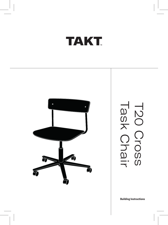# **TAKT**

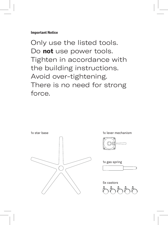#### **Important Notice**

Only use the listed tools. Do **not** use power tools. Tighten in accordance with the building instructions. Avoid over-tightening. There is no need for strong force.



1x lever mechanism



1x gas spring



5x castors

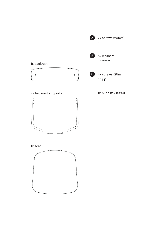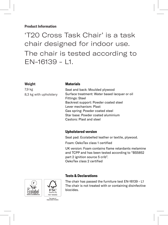#### **Product Information**

'T20 Cross Task Chair' is a task chair designed for indoor use. The chair is tested according to EN-16139 - L1.

#### **Weight**

#### **Materials**

7,9 kg 8,3 kg with upholstery

Seat and back: Moulded plywood Surface treatment: Water based lacquer or oil Fittings: Steel Backrest support: Powder coated steel Lever mechanism: Plast Gas spring: Powder coated steel Star base: Powder coated aluminium Castors: Plast and steel

#### **Upholstered version**

**Tests & Declarations**

Seat pad: Ecolabelled leather or textile, plywood.

Foam: OekoTex class 1 certified

UK version: Foam contains flame retardants melamine and TCPP and has been tested according to "BS5852 part 2 ignition source 5 crib". OekoTex class 2 certified



The chair has passed the furniture test EN-16139 - L1 The chair is not treated with or containing disinfective biocides.

The mark of<br>responsible forestr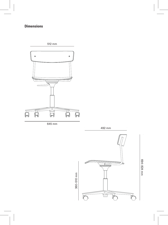### **Dimensions**



645 mm

360–510 mm



492 mm

694–824 mm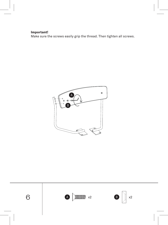#### **Important!**

Make sure the screws easily grip the thread. Then tighten all screws.



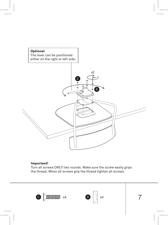

#### **Important!**

Turn all screws ONLY two rounds. Make sure the screw easily grips the thread. When all screws grip the thread tighten all screws.





7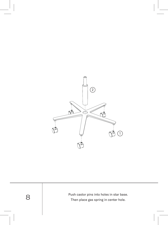

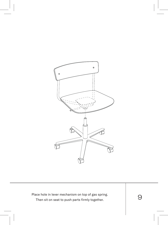

Place hole in lever mechanism on top of gas spring.<br>
Then sit on seat to push parts firmly together.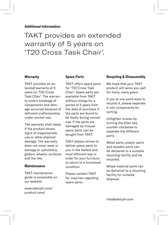#### **Additional Information**

### TAKT provides an extended warranty of 5 years on 'T20 Cross Task Chair'.

#### **Warranty**

TAKT provides an extended warranty of 5 years on 'T20 Cross Task Chair'. The warranty covers breakage of components and damage occurred because of deficient craftsmanship under normal use.

The warranty shall lapse if the product shows signs of inappropriate use or other physical damage. The warranty does not cover wear or damage to upholstery, gliders, wheels, surfaces and the like.

#### **Maintenance**

TAKT maintenance guide is accessible on our website

www.taktcph.com/ product-care/

#### **Spare Parts**

TAKT offers spare parts for 'T20 Cross Task Chair'. Spare parts are available from TAKT without charge for a period of 5 years from the date of purchase if the parts are found to be faulty during normal use. If the parts are damaged by misuse spare parts can be bought from TAKT.

TAKT always strives to deliver spare parts to you in the fastest and most efficient way in order for your furniture to return to a functional condition.

Please contact TAKT for inquiries regarding spare parts.

#### **Recycling & Disassembly**

We hope that your TAKT product will serve you well for many, many years.

If you at one point want to recycle it, please separate it into components for sorting.

Untighten screws by turning the Allen key counter clockwise to separate the different parts.

Metal parts, plastic parts and wooden parts can be delivered to a suitable recycling facility and be recycled.

Mixed material parts can be delivered to a recycling facility for suitable disposal.

info@taktcph.com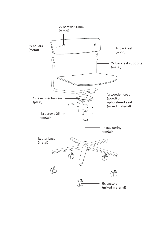